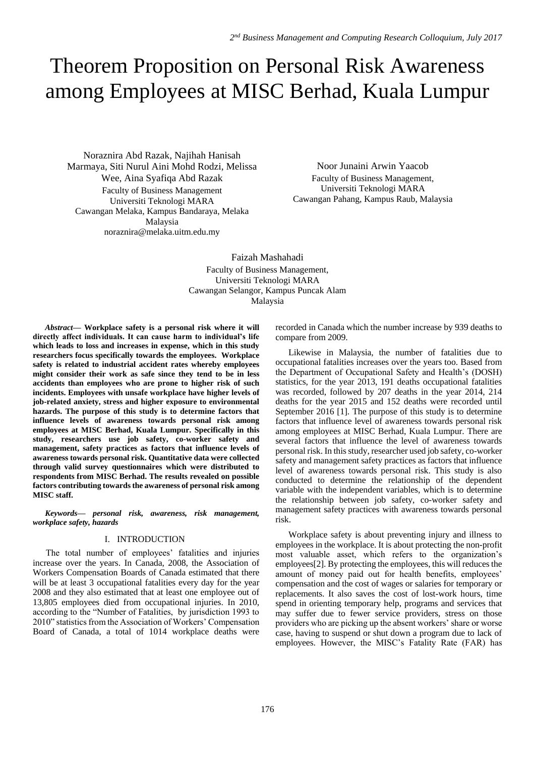# Theorem Proposition on Personal Risk Awareness among Employees at MISC Berhad, Kuala Lumpur

Noraznira Abd Razak, Najihah Hanisah Marmaya, Siti Nurul Aini Mohd Rodzi, Melissa Wee, Aina Syafiqa Abd Razak Faculty of Business Management Universiti Teknologi MARA Cawangan Melaka, Kampus Bandaraya, Melaka Malaysia noraznira@melaka.uitm.edu.my

Noor Junaini Arwin Yaacob Faculty of Business Management, Universiti Teknologi MARA Cawangan Pahang, Kampus Raub, Malaysia

Faizah Mashahadi Faculty of Business Management, Universiti Teknologi MARA Cawangan Selangor, Kampus Puncak Alam Malaysia

*Abstract***— Workplace safety is a personal risk where it will directly affect individuals. It can cause harm to individual's life which leads to loss and increases in expense, which in this study researchers focus specifically towards the employees. Workplace safety is related to industrial accident rates whereby employees might consider their work as safe since they tend to be in less accidents than employees who are prone to higher risk of such incidents. Employees with unsafe workplace have higher levels of job-related anxiety, stress and higher exposure to environmental hazards. The purpose of this study is to determine factors that influence levels of awareness towards personal risk among employees at MISC Berhad, Kuala Lumpur. Specifically in this study, researchers use job safety, co-worker safety and management, safety practices as factors that influence levels of awareness towards personal risk. Quantitative data were collected through valid survey questionnaires which were distributed to respondents from MISC Berhad. The results revealed on possible factors contributing towards the awareness of personal risk among MISC staff.**

*Keywords— personal risk, awareness, risk management, workplace safety, hazards*

## I. INTRODUCTION

The total number of employees' fatalities and injuries increase over the years. In Canada, 2008, the Association of Workers Compensation Boards of Canada estimated that there will be at least 3 occupational fatalities every day for the year 2008 and they also estimated that at least one employee out of 13,805 employees died from occupational injuries. In 2010, according to the "Number of Fatalities, by jurisdiction 1993 to 2010" statistics from the Association of Workers' Compensation Board of Canada, a total of 1014 workplace deaths were recorded in Canada which the number increase by 939 deaths to compare from 2009.

Likewise in Malaysia, the number of fatalities due to occupational fatalities increases over the years too. Based from the Department of Occupational Safety and Health's (DOSH) statistics, for the year 2013, 191 deaths occupational fatalities was recorded, followed by 207 deaths in the year 2014, 214 deaths for the year 2015 and 152 deaths were recorded until September 2016 [1]. The purpose of this study is to determine factors that influence level of awareness towards personal risk among employees at MISC Berhad, Kuala Lumpur. There are several factors that influence the level of awareness towards personal risk. In this study, researcher used job safety, co-worker safety and management safety practices as factors that influence level of awareness towards personal risk. This study is also conducted to determine the relationship of the dependent variable with the independent variables, which is to determine the relationship between job safety, co-worker safety and management safety practices with awareness towards personal risk.

Workplace safety is about preventing injury and illness to employees in the workplace. It is about protecting the non-profit most valuable asset, which refers to the organization's employees[2]. By protecting the employees, this will reduces the amount of money paid out for health benefits, employees' compensation and the cost of wages or salaries for temporary or replacements. It also saves the cost of lost-work hours, time spend in orienting temporary help, programs and services that may suffer due to fewer service providers, stress on those providers who are picking up the absent workers' share or worse case, having to suspend or shut down a program due to lack of employees. However, the MISC's Fatality Rate (FAR) has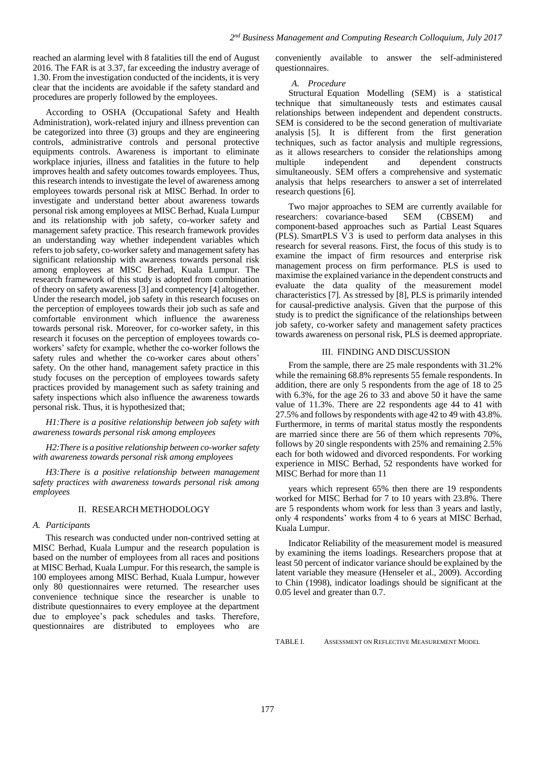reached an alarming level with 8 fatalities till the end of August 2016. The FAR is at 3.37, far exceeding the industry average of 1.30. From the investigation conducted of the incidents, it is very clear that the incidents are avoidable if the safety standard and procedures are properly followed by the employees.

According to OSHA (Occupational Safety and Health Administration), work-related injury and illness prevention can be categorized into three (3) groups and they are engineering controls, administrative controls and personal protective equipments controls. Awareness is important to eliminate workplace injuries, illness and fatalities in the future to help improves health and safety outcomes towards employees. Thus, this research intends to investigate the level of awareness among employees towards personal risk at MISC Berhad. In order to investigate and understand better about awareness towards personal risk among employees at MISC Berhad, Kuala Lumpur and its relationship with job safety, co-worker safety and management safety practice. This research framework provides an understanding way whether independent variables which refers to job safety, co-worker safety and management safety has significant relationship with awareness towards personal risk among employees at MISC Berhad, Kuala Lumpur. The research framework of this study is adopted from combination of theory on safety awareness [3] and competency [4] altogether. Under the research model, job safety in this research focuses on the perception of employees towards their job such as safe and comfortable environment which influence the awareness towards personal risk. Moreover, for co-worker safety, in this research it focuses on the perception of employees towards coworkers' safety for example, whether the co-worker follows the safety rules and whether the co-worker cares about others' safety. On the other hand, management safety practice in this study focuses on the perception of employees towards safety practices provided by management such as safety training and safety inspections which also influence the awareness towards personal risk. Thus, it is hypothesized that;

*H1:There is a positive relationship between job safety with awareness towards personal risk among employees* 

*H2:There is a positive relationship between co-worker safety with awareness towards personal risk among employees* 

*H3:There is a positive relationship between management safety practices with awareness towards personal risk among employees* 

### II. RESEARCHMETHODOLOGY

#### *A. Participants*

This research was conducted under non-contrived setting at MISC Berhad, Kuala Lumpur and the research population is based on the number of employees from all races and positions at MISC Berhad, Kuala Lumpur. For this research, the sample is 100 employees among MISC Berhad, Kuala Lumpur, however only 80 questionnaires were returned. The researcher uses convenience technique since the researcher is unable to distribute questionnaires to every employee at the department due to employee's pack schedules and tasks. Therefore, questionnaires are distributed to employees who are

conveniently available to answer the self-administered questionnaires.

#### *A. Procedure*

Structural Equation Modelling (SEM) is a statistical technique that simultaneously tests and estimates causal relationships between independent and dependent constructs. SEM is considered to be the second generation of multivariate analysis [5]. It is different from the first generation techniques, such as factor analysis and multiple regressions, as it allows researchers to consider the relationships among multiple independent and dependent constructs simultaneously. SEM offers a comprehensive and systematic analysis that helps researchers to answer a set of interrelated research questions [6].

Two major approaches to SEM are currently available for researchers: covariance-based SEM (CBSEM) and component-based approaches such as Partial Least Squares (PLS). SmartPLS  $\overrightarrow{V3}$  is used to perform data analyses in this research for several reasons. First, the focus of this study is to examine the impact of firm resources and enterprise risk management process on firm performance. PLS is used to maximise the explained variance in the dependent constructs and evaluate the data quality of the measurement model characteristics [7]. As stressed by [8], PLS is primarily intended for causal-predictive analysis. Given that the purpose of this study is to predict the significance of the relationships between job safety, co-worker safety and management safety practices towards awareness on personal risk, PLS is deemed appropriate.

#### III. FINDING AND DISCUSSION

From the sample, there are 25 male respondents with 31.2% while the remaining 68.8% represents 55 female respondents. In addition, there are only 5 respondents from the age of 18 to 25 with 6.3%, for the age 26 to 33 and above 50 it have the same value of 11.3%. There are 22 respondents age 44 to 41 with 27.5% and follows by respondents with age 42 to 49 with 43.8%. Furthermore, in terms of marital status mostly the respondents are married since there are 56 of them which represents 70%, follows by 20 single respondents with 25% and remaining 2.5% each for both widowed and divorced respondents. For working experience in MISC Berhad, 52 respondents have worked for MISC Berhad for more than 11

years which represent 65% then there are 19 respondents worked for MISC Berhad for 7 to 10 years with 23.8%. There are 5 respondents whom work for less than 3 years and lastly, only 4 respondents' works from 4 to 6 years at MISC Berhad, Kuala Lumpur.

Indicator Reliability of the measurement model is measured by examining the items loadings. Researchers propose that at least 50 percent of indicator variance should be explained by the latent variable they measure (Henseler et al., 2009). According to Chin (1998), indicator loadings should be significant at the 0.05 level and greater than 0.7.

TABLE I. ASSESSMENT ON REFLECTIVE MEASUREMENT MODEL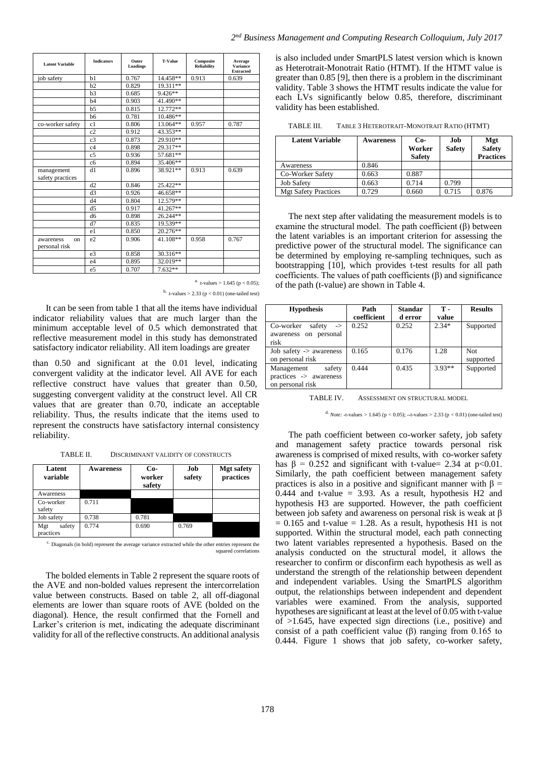| <b>Latent Variable</b>           | <b>Indicators</b> | Outer<br>Loadings | <b>T-Value</b> | Composite<br><b>Reliability</b> | Average<br><b>Variance</b><br><b>Extracted</b> |
|----------------------------------|-------------------|-------------------|----------------|---------------------------------|------------------------------------------------|
| job safety                       | h1                | 0.767             | 14.458**       | 0.913                           | 0.639                                          |
|                                  | h2                | 0.829             | 19.311**       |                                 |                                                |
|                                  | h <sub>3</sub>    | 0.685             | $9.426**$      |                                 |                                                |
|                                  | b4                | 0.903             | 41.490**       |                                 |                                                |
|                                  | h <sub>5</sub>    | 0.815             | $12.772**$     |                                 |                                                |
|                                  | b6                | 0.781             | 10.486**       |                                 |                                                |
| co-worker safety                 | c1                | 0.806             | 13.064**       | 0.957                           | 0.787                                          |
|                                  | c2                | 0.912             | 43.353**       |                                 |                                                |
|                                  | c <sub>3</sub>    | 0.873             | 29.910**       |                                 |                                                |
|                                  | c4                | 0.898             | 29.317**       |                                 |                                                |
|                                  | c <sub>5</sub>    | 0.936             | 57.681**       |                                 |                                                |
|                                  | c6                | 0.894             | 35.406**       |                                 |                                                |
| management                       | d1                | 0.896             | 38.921**       | 0.913                           | 0.639                                          |
| safety practices                 |                   |                   |                |                                 |                                                |
|                                  | d2                | 0.846             | 25.422**       |                                 |                                                |
|                                  | d3                | 0.926             | 46.658**       |                                 |                                                |
|                                  | d4                | 0.804             | 12.579**       |                                 |                                                |
|                                  | d <sub>5</sub>    | 0.917             | $41.267**$     |                                 |                                                |
|                                  | d6                | 0.898             | 26.244**       |                                 |                                                |
|                                  | d7                | 0.835             | 19.539**       |                                 |                                                |
|                                  | e1                | 0.850             | 20.276**       |                                 |                                                |
| awareness<br>on<br>personal risk | e <sub>2</sub>    | 0.906             | 41.108**       | 0.958                           | 0.767                                          |
|                                  | e <sub>3</sub>    | 0.858             | $30.316**$     |                                 |                                                |
|                                  | e <sub>4</sub>    | 0.895             | 32.019**       |                                 |                                                |
|                                  | e <sub>5</sub>    | 0.707             | 7.632**        |                                 |                                                |

*2 nd Business Management and Computing Research Colloquium, July 2017*

is also included under SmartPLS latest version which is known as Heterotrait-Monotrait Ratio (HTMT). If the HTMT value is greater than 0.85 [9], then there is a problem in the discriminant validity. Table 3 shows the HTMT results indicate the value for each LVs significantly below 0.85, therefore, discriminant validity has been established.

| TABLE III. | TABLE 3 HETEROTRAIT-MONOTRAIT RATIO (HTMT) |  |
|------------|--------------------------------------------|--|
|------------|--------------------------------------------|--|

| <b>Latent Variable</b>      | <b>Awareness</b> | $Co-$<br>Worker<br><b>Safety</b> | Job<br><b>Safety</b> | Mgt<br><b>Safety</b><br><b>Practices</b> |
|-----------------------------|------------------|----------------------------------|----------------------|------------------------------------------|
| Awareness                   | 0.846            |                                  |                      |                                          |
| Co-Worker Safety            | 0.663            | 0.887                            |                      |                                          |
| <b>Job Safety</b>           | 0.663            | 0.714                            | 0.799                |                                          |
| <b>Mgt Safety Practices</b> | 0.729            | 0.660                            | 0.715                | 0.876                                    |

The next step after validating the measurement models is to examine the structural model. The path coefficient  $(\beta)$  between the latent variables is an important criterion for assessing the predictive power of the structural model. The significance can be determined by employing re-sampling techniques, such as bootstrapping [10], which provides t-test results for all path coefficients. The values of path coefficients (β) and significance of the path (t-value) are shown in Table 4.

| <b>Hypothesis</b>                    | Path        | <b>Standar</b> | т.       | <b>Results</b> |
|--------------------------------------|-------------|----------------|----------|----------------|
|                                      | coefficient | d error        | value    |                |
| Co-worker<br>safety<br>$\rightarrow$ | 0.252       | 0.252          | $2.34*$  | Supported      |
| awareness on personal                |             |                |          |                |
| risk                                 |             |                |          |                |
| Job safety $\rightarrow$ awareness   | 0.165       | 0.176          | 1.28     | <b>Not</b>     |
| on personal risk                     |             |                |          | supported      |
| Management<br>safety                 | 0.444       | 0.435          | $3.93**$ | Supported      |
| practices -> awareness               |             |                |          |                |
| on personal risk                     |             |                |          |                |

TABLE IV. ASSESSMENT ON STRUCTURAL MODEL

d. *Note:* ∗t-values *>* 1.645 (p *<* 0.05); ∗∗t-values *>* 2.33 (p *<* 0.01) (one-tailed test)

The path coefficient between co-worker safety, job safety and management safety practice towards personal risk awareness is comprised of mixed results, with co-worker safety has  $\beta = 0.252$  and significant with t-value= 2.34 at p<0.01. Similarly, the path coefficient between management safety practices is also in a positive and significant manner with β = 0.444 and t-value  $= 3.93$ . As a result, hypothesis H2 and hypothesis H3 are supported. However, the path coefficient between job safety and awareness on personal risk is weak at β  $= 0.165$  and t-value  $= 1.28$ . As a result, hypothesis H1 is not supported. Within the structural model, each path connecting two latent variables represented a hypothesis. Based on the analysis conducted on the structural model, it allows the researcher to confirm or disconfirm each hypothesis as well as understand the strength of the relationship between dependent and independent variables. Using the SmartPLS algorithm output, the relationships between independent and dependent variables were examined. From the analysis, supported hypotheses are significant at least at the level of 0.05 with t-value of >1.645, have expected sign directions (i.e., positive) and consist of a path coefficient value (β) ranging from  $0.165$  to 0.444. Figure 1 shows that job safety, co-worker safety,

|  | t-values > 1.645 ( $p < 0.05$ ); |  |
|--|----------------------------------|--|
|--|----------------------------------|--|

 $<sup>b</sup>$  t-values > 2.33 (p < 0.01) (one-tailed test)</sup>

It can be seen from table 1 that all the items have individual indicator reliability values that are much larger than the minimum acceptable level of 0.5 which demonstrated that reflective measurement model in this study has demonstrated satisfactory indicator reliability. All item loadings are greater

than 0.50 and significant at the 0.01 level, indicating convergent validity at the indicator level. All AVE for each reflective construct have values that greater than 0.50, suggesting convergent validity at the construct level. All CR values that are greater than 0.70, indicate an acceptable reliability. Thus, the results indicate that the items used to represent the constructs have satisfactory internal consistency reliability.

TABLE II. DISCRIMINANT VALIDITY OF CONSTRUCTS

| Latent<br>variable         | <b>Awareness</b> | $Co-$<br>worker<br>safety | Job<br>safety | <b>Mgt</b> safety<br>practices |
|----------------------------|------------------|---------------------------|---------------|--------------------------------|
| Awareness                  |                  |                           |               |                                |
| Co-worker<br>safety        | 0.711            |                           |               |                                |
| Job safety                 | 0.738            | 0.781                     |               |                                |
| Mgt<br>safety<br>practices | 0.774            | 0.690                     | 0.769         |                                |

c. Diagonals (in bold) represent the average variance extracted while the other entries represent the squared correlations

The bolded elements in Table 2 represent the square roots of the AVE and non-bolded values represent the intercorrelation value between constructs. Based on table 2, all off-diagonal elements are lower than square roots of AVE (bolded on the diagonal). Hence, the result confirmed that the Fornell and Larker's criterion is met, indicating the adequate discriminant validity for all of the reflective constructs. An additional analysis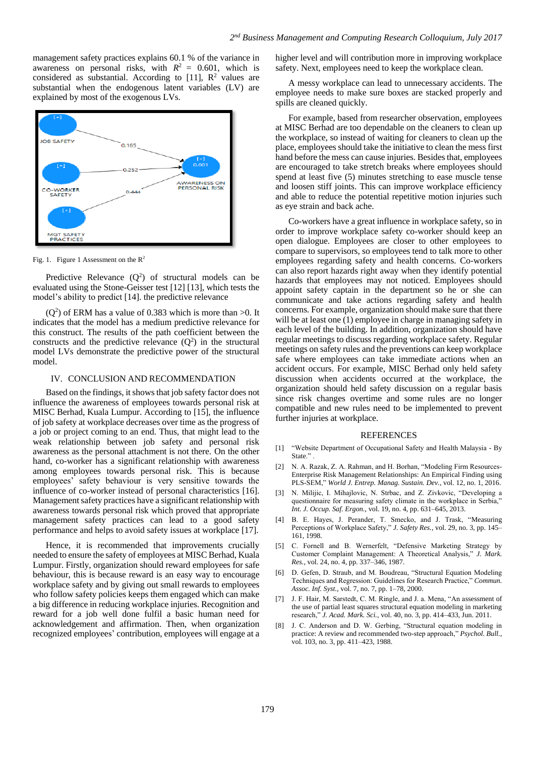management safety practices explains 60.1 % of the variance in awareness on personal risks, with  $R^2 = 0.601$ , which is considered as substantial. According to [11],  $\mathbb{R}^2$  values are substantial when the endogenous latent variables (LV) are explained by most of the exogenous LVs.



Fig. 1. Figure 1 Assessment on the  $R^2$ 

Predictive Relevance  $(Q^2)$  of structural models can be evaluated using the Stone-Geisser test [12] [13], which tests the model's ability to predict [14]. the predictive relevance

 $(Q<sup>2</sup>)$  of ERM has a value of 0.383 which is more than >0. It indicates that the model has a medium predictive relevance for this construct. The results of the path coefficient between the constructs and the predictive relevance  $(Q^2)$  in the structural model LVs demonstrate the predictive power of the structural model.

### IV. CONCLUSION AND RECOMMENDATION

Based on the findings, it shows that job safety factor does not influence the awareness of employees towards personal risk at MISC Berhad, Kuala Lumpur. According to [15], the influence of job safety at workplace decreases over time as the progress of a job or project coming to an end. Thus, that might lead to the weak relationship between job safety and personal risk awareness as the personal attachment is not there. On the other hand, co-worker has a significant relationship with awareness among employees towards personal risk. This is because employees' safety behaviour is very sensitive towards the influence of co-worker instead of personal characteristics [16]. Management safety practices have a significant relationship with awareness towards personal risk which proved that appropriate management safety practices can lead to a good safety performance and helps to avoid safety issues at workplace [17].

Hence, it is recommended that improvements crucially needed to ensure the safety of employees at MISC Berhad, Kuala Lumpur. Firstly, organization should reward employees for safe behaviour, this is because reward is an easy way to encourage workplace safety and by giving out small rewards to employees who follow safety policies keeps them engaged which can make a big difference in reducing workplace injuries. Recognition and reward for a job well done fulfil a basic human need for acknowledgement and affirmation. Then, when organization recognized employees' contribution, employees will engage at a higher level and will contribution more in improving workplace safety. Next, employees need to keep the workplace clean.

A messy workplace can lead to unnecessary accidents. The employee needs to make sure boxes are stacked properly and spills are cleaned quickly.

For example, based from researcher observation, employees at MISC Berhad are too dependable on the cleaners to clean up the workplace, so instead of waiting for cleaners to clean up the place, employees should take the initiative to clean the mess first hand before the mess can cause injuries. Besides that, employees are encouraged to take stretch breaks where employees should spend at least five (5) minutes stretching to ease muscle tense and loosen stiff joints. This can improve workplace efficiency and able to reduce the potential repetitive motion injuries such as eye strain and back ache.

Co-workers have a great influence in workplace safety, so in order to improve workplace safety co-worker should keep an open dialogue. Employees are closer to other employees to compare to supervisors, so employees tend to talk more to other employees regarding safety and health concerns. Co-workers can also report hazards right away when they identify potential hazards that employees may not noticed. Employees should appoint safety captain in the department so he or she can communicate and take actions regarding safety and health concerns. For example, organization should make sure that there will be at least one (1) employee in charge in managing safety in each level of the building. In addition, organization should have regular meetings to discuss regarding workplace safety. Regular meetings on safety rules and the preventions can keep workplace safe where employees can take immediate actions when an accident occurs. For example, MISC Berhad only held safety discussion when accidents occurred at the workplace, the organization should held safety discussion on a regular basis since risk changes overtime and some rules are no longer compatible and new rules need to be implemented to prevent further injuries at workplace.

#### REFERENCES

- [1] "Website Department of Occupational Safety and Health Malaysia By State.".
- [2] N. A. Razak, Z. A. Rahman, and H. Borhan, "Modeling Firm Resources-Enterprise Risk Management Relationships: An Empirical Finding using PLS-SEM," *World J. Entrep. Manag. Sustain. Dev.*, vol. 12, no. 1, 2016.
- [3] N. Milijic, I. Mihajlovic, N. Strbac, and Z. Zivkovic, "Developing a questionnaire for measuring safety climate in the workplace in Serbia," *Int. J. Occup. Saf. Ergon.*, vol. 19, no. 4, pp. 631–645, 2013.
- [4] B. E. Hayes, J. Perander, T. Smecko, and J. Trask, "Measuring Perceptions of Workplace Safety," *J. Safety Res.*, vol. 29, no. 3, pp. 145– 161, 1998.
- [5] C. Fornell and B. Wernerfelt, "Defensive Marketing Strategy by Customer Complaint Management: A Theoretical Analysis," *J. Mark. Res.*, vol. 24, no. 4, pp. 337–346, 1987.
- [6] D. Gefen, D. Straub, and M. Boudreau, "Structural Equation Modeling Techniques and Regression: Guidelines for Research Practice," *Commun. Assoc. Inf. Syst.*, vol. 7, no. 7, pp. 1–78, 2000.
- [7] J. F. Hair, M. Sarstedt, C. M. Ringle, and J. a. Mena, "An assessment of the use of partial least squares structural equation modeling in marketing research," *J. Acad. Mark. Sci.*, vol. 40, no. 3, pp. 414–433, Jun. 2011.
- [8] J. C. Anderson and D. W. Gerbing, "Structural equation modeling in practice: A review and recommended two-step approach," *Psychol. Bull.*, vol. 103, no. 3, pp. 411–423, 1988.